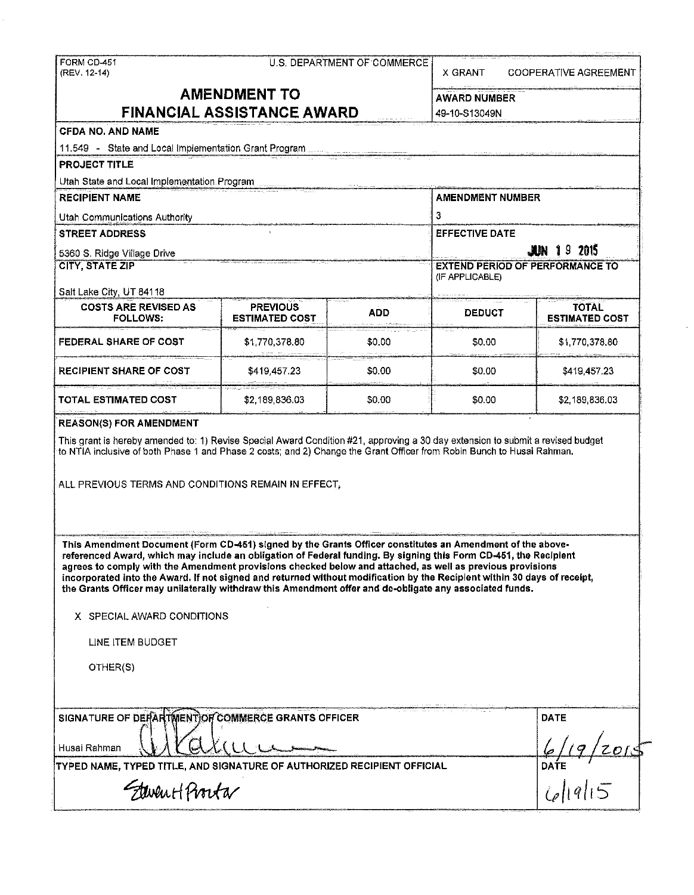| <b>FORM CD-451</b> |  |
|--------------------|--|
| (REV. 12-14)       |  |

| FORM CD-451 |  |  | the contract of the contract of the contract of the contract of the contract of the contract of the contract of<br>U.S. DEPARTMENT OF COMMERCE |  |
|-------------|--|--|------------------------------------------------------------------------------------------------------------------------------------------------|--|
|             |  |  |                                                                                                                                                |  |

# **AMENDMENT TO FINANCIAL ASSISTANCE AWARD** 49-10-S13049N

| the company's company and the company's company's company's company's company's<br>the company's state of the company's state of the company's state of the company's state of the company's state of the company's state of the company's state of the company's state of the company's state of the company's s |  |  |  |  |  |  |  |  |  |  |  |
|-------------------------------------------------------------------------------------------------------------------------------------------------------------------------------------------------------------------------------------------------------------------------------------------------------------------|--|--|--|--|--|--|--|--|--|--|--|
| AWARD NUMBER                                                                                                                                                                                                                                                                                                      |  |  |  |  |  |  |  |  |  |  |  |
| 10.10.0100101                                                                                                                                                                                                                                                                                                     |  |  |  |  |  |  |  |  |  |  |  |

X GRANT COOPERATIVE AGREEMENT

|  |  |  | <b>CFDA NO. AND NAME</b> |
|--|--|--|--------------------------|
|--|--|--|--------------------------|

11.549 - State and Local Implementation Grant Program .

PROJECT TITLE

Utah State and Local Implementation Program

RECIPIENT NAME ALL AND RECIPIENT NUMBER Utah Communications Authority 3 STREET ADDRESS EFFECTIVE DATE: 5360 S. Ridge Village Drive **.liN** I 9 201S EXTEND PERIOD OF PERFORMANCE TO (IF APPLICABLE) Salt Lake City, UT 84118 COSTS ARE REVISED AS PREVIOUS TO THE ADD TO DEDUCT TOTAL TOTAL TOTAL TOTAL PREVIOUS TO ADD ADD DEDUCT STIMATED COST **ESTIMATED COST FEDERAL SHARE OF COST**  \$1,770,378.80 \$0.00 \$0.00 \$1,770,378.80 ,<br>,<br>,<br>,<br>,

RECIPIENT SHARE OF COST  $\begin{array}{ccc} 1 & 3419.457.23 & 1 & 30.00 & 1 & 3419.457.23 \end{array}$ 

TOTAL ESTIMATED COST \$2,189,836.03 \$0.00 \$0.00 \$2,189,836.03

This grant is hereby amended to: 1) Revise Special Award Condition #21, approving a 30 day extension to submit a revised budget

to NTIA inclusive of both Phase 1 and Phase 2 costs; and 2) Change the Grant Officer from Robin Bunch to Husai Rahman.

ALL PREVIOUS TERMS AND CONDITIONS REMAIN IN EFFECT,

This Amendment Document(Form CD-451) signed by the Grants Officer constitutes an Amendment of the abovereferenced Award, which may include an obligation of Federal funding. By signing this Form CD-451, the Recipient **agrees to comply with the Amendment provisions checked below and attached, as well as previous provisions**  incorporated Into the Award. If not signed and returned without modification by the Recipient within 30 days of receipt, **the Grants Officer may unilaterally withdraw this Amendment offer and de-obligate any associated funds.** 

X SPECIAL AWARD CONDITIONS

LINE ITEM BUDGET

REASON(S) FOR AMENDMENT

OTHER(S)

| SIGNATURE OF DEFARTMENT OF COMMERCE GRANTS OFFICER                      | the committee of the committee of the committee of the com- | <b>DATE</b> |  |
|-------------------------------------------------------------------------|-------------------------------------------------------------|-------------|--|
| Husai Rahman                                                            |                                                             |             |  |
| TYPED NAME, TYPED TITLE, AND SIGNATURE OF AUTHORIZED RECIPIENT OFFICIAL |                                                             | DATE        |  |
| FlevenHPvorta                                                           |                                                             |             |  |